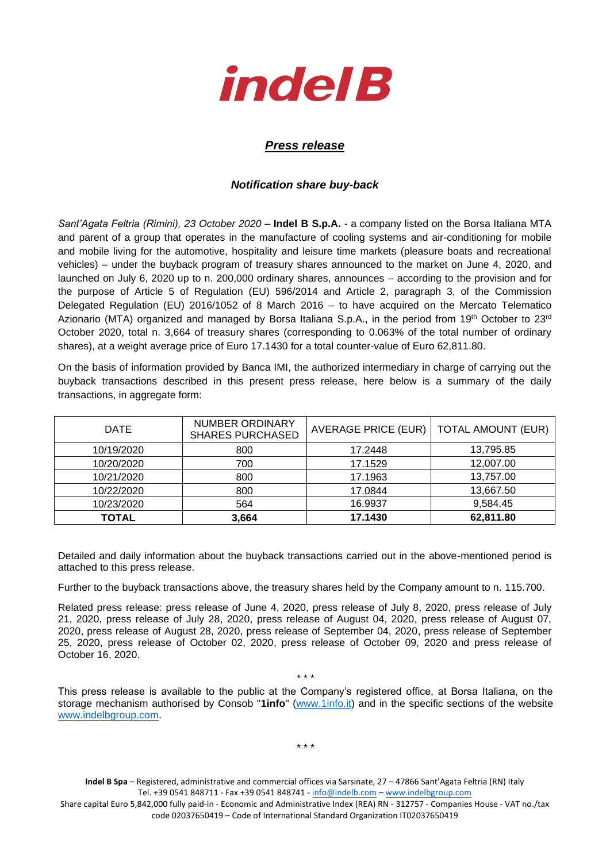

## *Press release*

## *Notification share buy-back*

*Sant'Agata Feltria (Rimini), 23 October 2020* – **Indel B S.p.A.** - a company listed on the Borsa Italiana MTA and parent of a group that operates in the manufacture of cooling systems and air-conditioning for mobile and mobile living for the automotive, hospitality and leisure time markets (pleasure boats and recreational vehicles) – under the buyback program of treasury shares announced to the market on June 4, 2020, and launched on July 6, 2020 up to n. 200,000 ordinary shares, announces – according to the provision and for the purpose of Article 5 of Regulation (EU) 596/2014 and Article 2, paragraph 3, of the Commission Delegated Regulation (EU) 2016/1052 of 8 March 2016 – to have acquired on the Mercato Telematico Azionario (MTA) organized and managed by Borsa Italiana S.p.A., in the period from 19<sup>th</sup> October to 23<sup>rd</sup> October 2020, total n. 3,664 of treasury shares (corresponding to 0.063% of the total number of ordinary shares), at a weight average price of Euro 17.1430 for a total counter-value of Euro 62,811.80.

On the basis of information provided by Banca IMI, the authorized intermediary in charge of carrying out the buyback transactions described in this present press release, here below is a summary of the daily transactions, in aggregate form:

| <b>DATE</b>  | NUMBER ORDINARY<br><b>SHARES PURCHASED</b> | AVERAGE PRICE (EUR) | <b>TOTAL AMOUNT (EUR)</b> |
|--------------|--------------------------------------------|---------------------|---------------------------|
| 10/19/2020   | 800                                        | 17.2448             | 13,795.85                 |
| 10/20/2020   | 700                                        | 17.1529             | 12,007.00                 |
| 10/21/2020   | 800                                        | 17.1963             | 13,757.00                 |
| 10/22/2020   | 800                                        | 17.0844             | 13,667.50                 |
| 10/23/2020   | 564                                        | 16.9937             | 9,584.45                  |
| <b>TOTAL</b> | 3,664                                      | 17.1430             | 62,811.80                 |

Detailed and daily information about the buyback transactions carried out in the above-mentioned period is attached to this press release.

Further to the buyback transactions above, the treasury shares held by the Company amount to n. 115.700.

Related press release: press release of June 4, 2020, press release of July 8, 2020, press release of July 21, 2020, press release of July 28, 2020, press release of August 04, 2020, press release of August 07, 2020, press release of August 28, 2020, press release of September 04, 2020, press release of September 25, 2020, press release of October 02, 2020, press release of October 09, 2020 and press release of October 16, 2020.

This press release is available to the public at the Company's registered office, at Borsa Italiana, on the storage mechanism authorised by Consob "**1info**" [\(www.1info.it\)](file:///C:/Users/ddelietovollaro/AppData/Local/Microsoft/Windows/INetCache/Content.Outlook/T87B94UR/www.1info.it) and in the specific sections of the website [www.indelbgroup.com.](http://www.indelbgroup.com/)

\* \* \*

\* \* \*

**Indel B Spa** – Registered, administrative and commercial offices via Sarsinate, 27 – 47866 Sant'Agata Feltria (RN) Italy Tel. +39 0541 848711 - Fax +39 0541 848741 - [info@indelb.com](mailto:info@indelb.com) – [www.indelbgroup.com](http://www.indelbgroup.com/)

Share capital Euro 5,842,000 fully paid-in - Economic and Administrative Index (REA) RN - 312757 - Companies House - VAT no./tax code 02037650419 – Code of International Standard Organization IT02037650419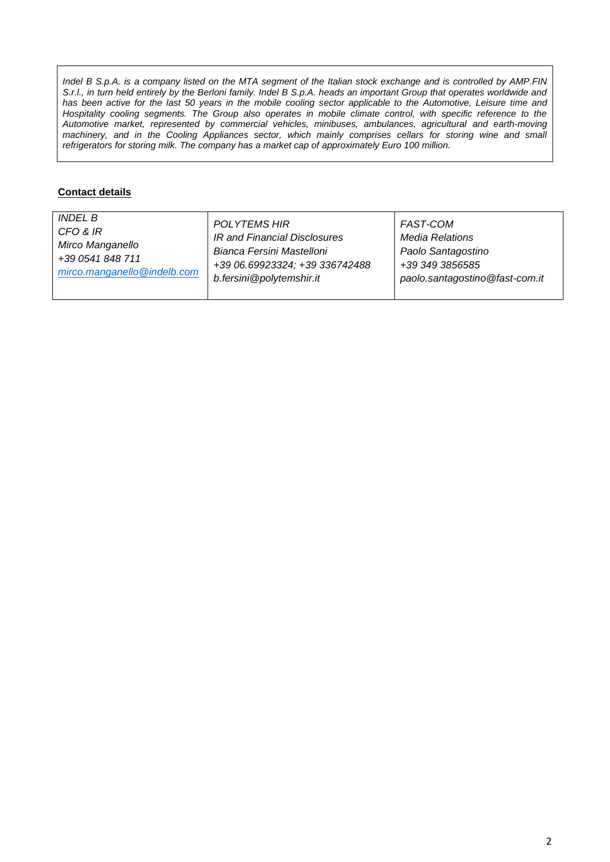*Indel B S.p.A. is a company listed on the MTA segment of the Italian stock exchange and is controlled by AMP.FIN S.r.l., in turn held entirely by the Berloni family. Indel B S.p.A. heads an important Group that operates worldwide and* has been active for the last 50 years in the mobile cooling sector applicable to the Automotive, Leisure time and Hospitality cooling segments. The Group also operates in mobile climate control, with specific reference to the *Automotive market, represented by commercial vehicles, minibuses, ambulances, agricultural and earth-moving machinery, and in the Cooling Appliances sector, which mainly comprises cellars for storing wine and small refrigerators for storing milk. The company has a market cap of approximately Euro 100 million.*

## **Contact details**

| <i>INDEL B</i>              | POLYTEMS HIR                   | FAST-COM                       |
|-----------------------------|--------------------------------|--------------------------------|
| CFO & IR                    | IR and Financial Disclosures   | Media Relations                |
| Mirco Manganello            | Bianca Fersini Mastelloni      | Paolo Santagostino             |
| +39 0541 848 711            | +39 06.69923324; +39 336742488 | +39 349 3856585                |
| mirco.manganello@indelb.com | b.fersini@polytemshir.it       | paolo.santagostino@fast-com.it |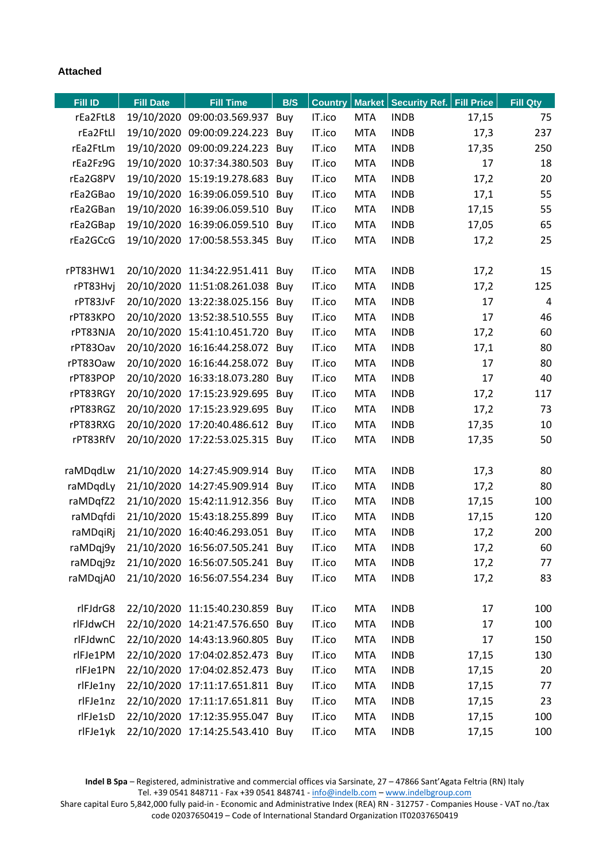## **Attached**

| Fill ID  | <b>Fill Date</b> | <b>Fill Time</b>                         | B/S | <b>Country</b> | <b>Market</b> | Security Ref. | <b>Fill Price</b> | <b>Fill Qty</b> |
|----------|------------------|------------------------------------------|-----|----------------|---------------|---------------|-------------------|-----------------|
| rEa2FtL8 |                  | 19/10/2020 09:00:03.569.937              | Buy | IT.ico         | <b>MTA</b>    | <b>INDB</b>   | 17,15             | 75              |
| rEa2FtLl |                  | 19/10/2020 09:00:09.224.223 Buy          |     | IT.ico         | <b>MTA</b>    | <b>INDB</b>   | 17,3              | 237             |
| rEa2FtLm |                  | 19/10/2020 09:00:09.224.223              | Buy | IT.ico         | <b>MTA</b>    | <b>INDB</b>   | 17,35             | 250             |
| rEa2Fz9G |                  | 19/10/2020 10:37:34.380.503              | Buy | IT.ico         | <b>MTA</b>    | <b>INDB</b>   | 17                | 18              |
| rEa2G8PV |                  | 19/10/2020 15:19:19.278.683              | Buy | IT.ico         | <b>MTA</b>    | <b>INDB</b>   | 17,2              | 20              |
| rEa2GBao |                  | 19/10/2020 16:39:06.059.510 Buy          |     | IT.ico         | <b>MTA</b>    | <b>INDB</b>   | 17,1              | 55              |
| rEa2GBan |                  | 19/10/2020 16:39:06.059.510              | Buy | IT.ico         | <b>MTA</b>    | <b>INDB</b>   | 17,15             | 55              |
| rEa2GBap |                  | 19/10/2020 16:39:06.059.510 Buy          |     | IT.ico         | <b>MTA</b>    | <b>INDB</b>   | 17,05             | 65              |
| rEa2GCcG |                  | 19/10/2020 17:00:58.553.345              | Buy | IT.ico         | <b>MTA</b>    | <b>INDB</b>   | 17,2              | 25              |
|          |                  |                                          |     |                |               |               |                   |                 |
| rPT83HW1 |                  | 20/10/2020 11:34:22.951.411 Buy          |     | IT.ico         | <b>MTA</b>    | <b>INDB</b>   | 17,2              | 15              |
| rPT83Hvj |                  | 20/10/2020 11:51:08.261.038              | Buy | IT.ico         | <b>MTA</b>    | <b>INDB</b>   | 17,2              | 125             |
| rPT83JvF |                  | 20/10/2020 13:22:38.025.156 Buy          |     | IT.ico         | <b>MTA</b>    | <b>INDB</b>   | 17                | 4               |
| rPT83KPO |                  | 20/10/2020 13:52:38.510.555 Buy          |     | IT.ico         | <b>MTA</b>    | <b>INDB</b>   | 17                | 46              |
| rPT83NJA |                  | 20/10/2020 15:41:10.451.720              | Buy | IT.ico         | <b>MTA</b>    | <b>INDB</b>   | 17,2              | 60              |
| rPT83Oav |                  | 20/10/2020 16:16:44.258.072 Buy          |     | IT.ico         | <b>MTA</b>    | <b>INDB</b>   | 17,1              | 80              |
| rPT83Oaw |                  | 20/10/2020 16:16:44.258.072 Buy          |     | IT.ico         | <b>MTA</b>    | <b>INDB</b>   | 17                | 80              |
| rPT83POP |                  | 20/10/2020 16:33:18.073.280 Buy          |     | IT.ico         | <b>MTA</b>    | <b>INDB</b>   | 17                | 40              |
| rPT83RGY |                  | 20/10/2020 17:15:23.929.695              | Buy | IT.ico         | <b>MTA</b>    | <b>INDB</b>   | 17,2              | 117             |
| rPT83RGZ |                  | 20/10/2020 17:15:23.929.695              | Buy | IT.ico         | <b>MTA</b>    | <b>INDB</b>   | 17,2              | 73              |
| rPT83RXG |                  | 20/10/2020 17:20:40.486.612 Buy          |     | IT.ico         | <b>MTA</b>    | <b>INDB</b>   | 17,35             | 10              |
| rPT83RfV |                  | 20/10/2020 17:22:53.025.315 Buy          |     | IT.ico         | <b>MTA</b>    | <b>INDB</b>   | 17,35             | 50              |
|          |                  |                                          |     |                |               |               |                   |                 |
| raMDqdLw |                  | 21/10/2020 14:27:45.909.914              | Buy | IT.ico         | <b>MTA</b>    | <b>INDB</b>   | 17,3              | 80              |
| raMDqdLy |                  | 21/10/2020 14:27:45.909.914              | Buy | IT.ico         | <b>MTA</b>    | <b>INDB</b>   | 17,2              | 80              |
| raMDqfZ2 |                  | 21/10/2020 15:42:11.912.356 Buy          |     | IT.ico         | <b>MTA</b>    | <b>INDB</b>   | 17,15             | 100             |
| raMDqfdi |                  | 21/10/2020 15:43:18.255.899              | Buy | IT.ico         | <b>MTA</b>    | <b>INDB</b>   | 17,15             | 120             |
| raMDqiRj |                  | 21/10/2020 16:40:46.293.051 Buy          |     | IT.ico         | <b>MTA</b>    | <b>INDB</b>   | 17,2              | 200             |
| raMDqj9y |                  | 21/10/2020 16:56:07.505.241 Buy          |     | IT.ico         | <b>MTA</b>    | <b>INDB</b>   | 17,2              | 60              |
|          |                  | raMDqj9z 21/10/2020 16:56:07.505.241 Buy |     | IT.ico         | MTA           | <b>INDB</b>   | 17,2              | 77              |
| raMDqjA0 |                  | 21/10/2020 16:56:07.554.234 Buy          |     | IT.ico         | <b>MTA</b>    | <b>INDB</b>   | 17,2              | 83              |
| rlFJdrG8 |                  | 22/10/2020 11:15:40.230.859 Buy          |     | IT.ico         | <b>MTA</b>    | <b>INDB</b>   | 17                | 100             |
| rlFJdwCH |                  | 22/10/2020 14:21:47.576.650 Buy          |     | IT.ico         | <b>MTA</b>    | <b>INDB</b>   | 17                | 100             |
| rlFJdwnC |                  | 22/10/2020 14:43:13.960.805 Buy          |     | IT.ico         | <b>MTA</b>    | <b>INDB</b>   | 17                | 150             |
| rlFJe1PM |                  | 22/10/2020 17:04:02.852.473 Buy          |     | IT.ico         | <b>MTA</b>    | <b>INDB</b>   | 17,15             | 130             |
| rlFJe1PN |                  | 22/10/2020 17:04:02.852.473 Buy          |     | IT.ico         | <b>MTA</b>    | <b>INDB</b>   | 17,15             | 20              |
| rlFJe1ny |                  | 22/10/2020 17:11:17.651.811 Buy          |     | IT.ico         | <b>MTA</b>    | <b>INDB</b>   | 17,15             | 77              |
| rlFJe1nz |                  | 22/10/2020 17:11:17.651.811 Buy          |     | IT.ico         | <b>MTA</b>    | <b>INDB</b>   | 17,15             | 23              |
| rlFJe1sD |                  | 22/10/2020 17:12:35.955.047 Buy          |     | IT.ico         | <b>MTA</b>    | <b>INDB</b>   | 17,15             | 100             |
| rlFJe1yk |                  | 22/10/2020 17:14:25.543.410 Buy          |     | IT.ico         | <b>MTA</b>    | <b>INDB</b>   | 17,15             | 100             |

**Indel B Spa** – Registered, administrative and commercial offices via Sarsinate, 27 – 47866 Sant'Agata Feltria (RN) Italy Tel. +39 0541 848711 - Fax +39 0541 848741 - [info@indelb.com](mailto:info@indelb.com) – [www.indelbgroup.com](http://www.indelbgroup.com/)

Share capital Euro 5,842,000 fully paid-in - Economic and Administrative Index (REA) RN - 312757 - Companies House - VAT no./tax code 02037650419 – Code of International Standard Organization IT02037650419